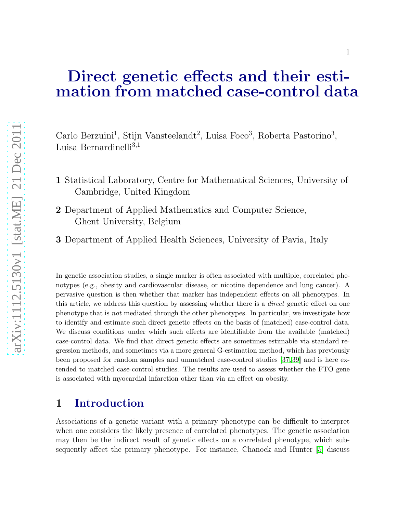# Direct genetic effects and their estimation from matched case-control data

Carlo Berzuini<sup>1</sup>, Stijn Vansteelandt<sup>2</sup>, Luisa Foco<sup>3</sup>, Roberta Pastorino<sup>3</sup>, Luisa Bernardinelli $^{3,1}$ 

- 1 Statistical Laboratory, Centre for Mathematical Sciences, University of Cambridge, United Kingdom
- 2 Department of Applied Mathematics and Computer Science, Ghent University, Belgium
- 3 Department of Applied Health Sciences, University of Pavia, Italy

In genetic association studies, a single marker is often associated with multiple, correlated phenotypes (e.g., obesity and cardiovascular disease, or nicotine dependence and lung cancer). A pervasive question is then whether that marker has independent effects on all phenotypes. In this article, we address this question by assessing whether there is a *direct* genetic effect on one phenotype that is *not* mediated through the other phenotypes. In particular, we investigate how to identify and estimate such direct genetic effects on the basis of (matched) case-control data. We discuss conditions under which such effects are identifiable from the available (matched) case-control data. We find that direct genetic effects are sometimes estimable via standard regression methods, and sometimes via a more general G-estimation method, which has previously been proposed for random samples and unmatched case-control studies [\[37,](#page-19-0) [39\]](#page-19-1) and is here extended to matched case-control studies. The results are used to assess whether the FTO gene is associated with myocardial infarction other than via an effect on obesity.

### 1 Introduction

Associations of a genetic variant with a primary phenotype can be difficult to interpret when one considers the likely presence of correlated phenotypes. The genetic association may then be the indirect result of genetic effects on a correlated phenotype, which subsequently affect the primary phenotype. For instance, Chanock and Hunter [\[5\]](#page-16-0) discuss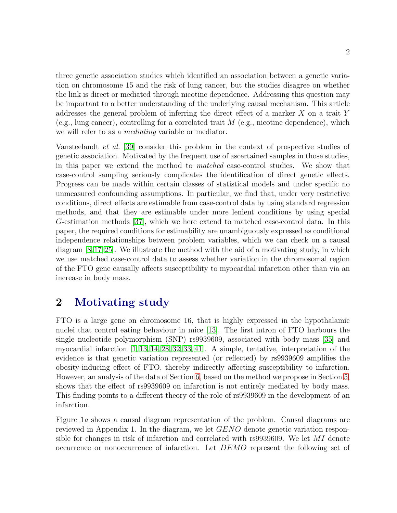three genetic association studies which identified an association between a genetic variation on chromosome 15 and the risk of lung cancer, but the studies disagree on whether the link is direct or mediated through nicotine dependence. Addressing this question may be important to a better understanding of the underlying causal mechanism. This article addresses the general problem of inferring the direct effect of a marker X on a trait Y (e.g., lung cancer), controlling for a correlated trait  $M$  (e.g., nicotine dependence), which we will refer to as a *mediating* variable or mediator.

Vansteelandt et al. [\[39\]](#page-19-1) consider this problem in the context of prospective studies of genetic association. Motivated by the frequent use of ascertained samples in those studies, in this paper we extend the method to matched case-control studies. We show that case-control sampling seriously complicates the identification of direct genetic effects. Progress can be made within certain classes of statistical models and under specific no unmeasured confounding assumptions. In particular, we find that, under very restrictive conditions, direct effects are estimable from case-control data by using standard regression methods, and that they are estimable under more lenient conditions by using special G-estimation methods [\[37\]](#page-19-0), which we here extend to matched case-control data. In this paper, the required conditions for estimability are unambiguously expressed as conditional independence relationships between problem variables, which we can check on a causal diagram [\[8,](#page-16-1)[17,](#page-17-0)[25\]](#page-18-0). We illustrate the method with the aid of a motivating study, in which we use matched case-control data to assess whether variation in the chromosomal region of the FTO gene causally affects susceptibility to myocardial infarction other than via an increase in body mass.

## <span id="page-1-0"></span>2 Motivating study

FTO is a large gene on chromosome 16, that is highly expressed in the hypothalamic nuclei that control eating behaviour in mice [\[13\]](#page-17-1). The first intron of FTO harbours the single nucleotide polymorphism (SNP) rs9939609, associated with body mass [\[35\]](#page-19-2) and myocardial infarction [\[1,](#page-15-0) [13,](#page-17-1) [14,](#page-17-2) [28,](#page-18-1) [32,](#page-18-2) [33,](#page-18-3) [41\]](#page-19-3). A simple, tentative, interpretation of the evidence is that genetic variation represented (or reflected) by rs9939609 amplifies the obesity-inducing effect of FTO, thereby indirectly affecting susceptibility to infarction. However, an analysis of the data of Section [6,](#page-8-0) based on the method we propose in Section [5,](#page-6-0) shows that the effect of rs9939609 on infarction is not entirely mediated by body mass. This finding points to a different theory of the role of rs9939609 in the development of an infarction.

Figure 1a shows a causal diagram representation of the problem. Causal diagrams are reviewed in Appendix 1. In the diagram, we let GENO denote genetic variation responsible for changes in risk of infarction and correlated with rs9939609. We let MI denote occurrence or nonoccurrence of infarction. Let DEMO represent the following set of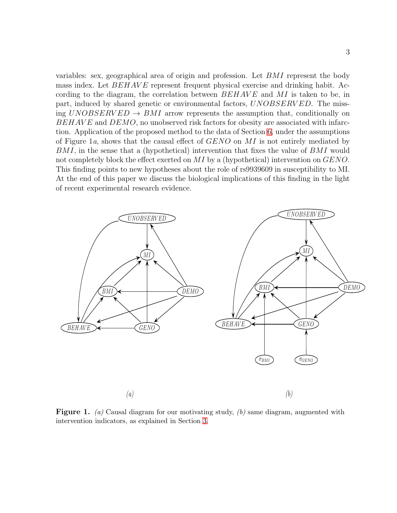variables: sex, geographical area of origin and profession. Let BMI represent the body mass index. Let  $BEHAVE$  represent frequent physical exercise and drinking habit. According to the diagram, the correlation between  $BEHAVE$  and MI is taken to be, in part, induced by shared genetic or environmental factors, UNOBSERV ED. The missing  $UNOBSERVED \rightarrow BMI$  arrow represents the assumption that, conditionally on BEHAVE and DEMO, no unobserved risk factors for obesity are associated with infarction. Application of the proposed method to the data of Section [6,](#page-8-0) under the assumptions of Figure 1a, shows that the causal effect of  $GENO$  on MI is not entirely mediated by BMI, in the sense that a (hypothetical) intervention that fixes the value of BMI would not completely block the effect exerted on MI by a (hypothetical) intervention on GENO. This finding points to new hypotheses about the role of rs9939609 in susceptibility to MI. At the end of this paper we discuss the biological implications of this finding in the light of recent experimental research evidence.



Figure 1. *(a)* Causal diagram for our motivating study, *(b)* same diagram, augmented with intervention indicators, as explained in Section [3.](#page-3-0)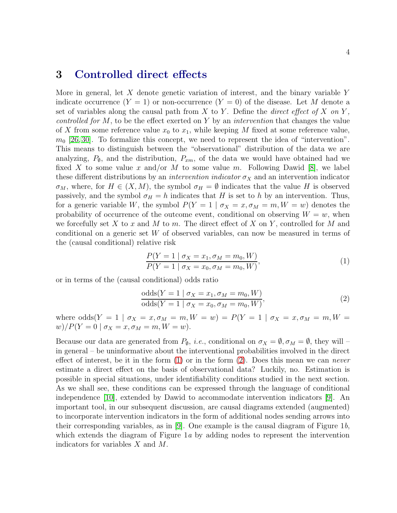#### 4

#### <span id="page-3-0"></span>3 Controlled direct effects

More in general, let  $X$  denote genetic variation of interest, and the binary variable  $Y$ indicate occurrence  $(Y = 1)$  or non-occurrence  $(Y = 0)$  of the disease. Let M denote a set of variables along the causal path from X to Y. Define the *direct effect of X on* Y, *controlled for*  $M$ , to be the effect exerted on  $Y$  by an *intervention* that changes the value of X from some reference value  $x_0$  to  $x_1$ , while keeping M fixed at some reference value,  $m_0$  [\[26,](#page-18-4) [30\]](#page-18-5). To formalize this concept, we need to represent the idea of "intervention". This means to distinguish between the "observational" distribution of the data we are analyzing,  $P_{\emptyset}$ , and the distribution,  $P_{xm}$ , of the data we would have obtained had we fixed X to some value x and/or M to some value m. Following Dawid [\[8\]](#page-16-1), we label these different distributions by an *intervention indicator*  $\sigma_X$  and an intervention indicator  $\sigma_M$ , where, for  $H \in (X, M)$ , the symbol  $\sigma_H = \emptyset$  indicates that the value H is observed passively, and the symbol  $\sigma_H = h$  indicates that H is set to h by an intervention. Thus, for a generic variable W, the symbol  $P(Y = 1 | \sigma_X = x, \sigma_M = m, W = w)$  denotes the probability of occurrence of the outcome event, conditional on observing  $W = w$ , when we forcefully set X to x and M to m. The direct effect of X on Y, controlled for M and conditional on a generic set W of observed variables, can now be measured in terms of the (causal conditional) relative risk

<span id="page-3-1"></span>
$$
\frac{P(Y=1 \mid \sigma_X = x_1, \sigma_M = m_0, W)}{P(Y=1 \mid \sigma_X = x_0, \sigma_M = m_0, W)},\tag{1}
$$

or in terms of the (causal conditional) odds ratio

<span id="page-3-2"></span>
$$
\frac{\text{odds}(Y=1 \mid \sigma_X = x_1, \sigma_M = m_0, W)}{\text{odds}(Y=1 \mid \sigma_X = x_0, \sigma_M = m_0, W)},\tag{2}
$$

where  $\text{odds}(Y = 1 \mid \sigma_X = x, \sigma_M = m, W = w) = P(Y = 1 \mid \sigma_X = x, \sigma_M = m, W = w)$  $w)/P(Y = 0 | \sigma_X = x, \sigma_M = m, W = w).$ 

Because our data are generated from  $P_{\emptyset}$ , *i.e.*, conditional on  $\sigma_X = \emptyset$ ,  $\sigma_M = \emptyset$ , they will – in general – be uninformative about the interventional probabilities involved in the direct effect of interest, be it in the form  $(1)$  or in the form  $(2)$ . Does this mean we can *never* estimate a direct effect on the basis of observational data? Luckily, no. Estimation is possible in special situations, under identifiability conditions studied in the next section. As we shall see, these conditions can be expressed through the language of conditional independence [\[10\]](#page-16-2), extended by Dawid to accommodate intervention indicators [\[9\]](#page-16-3). An important tool, in our subsequent discussion, are causal diagrams extended (augmented) to incorporate intervention indicators in the form of additional nodes sending arrows into their corresponding variables, as in  $[9]$ . One example is the causal diagram of Figure 1b, which extends the diagram of Figure 1a by adding nodes to represent the intervention indicators for variables X and M.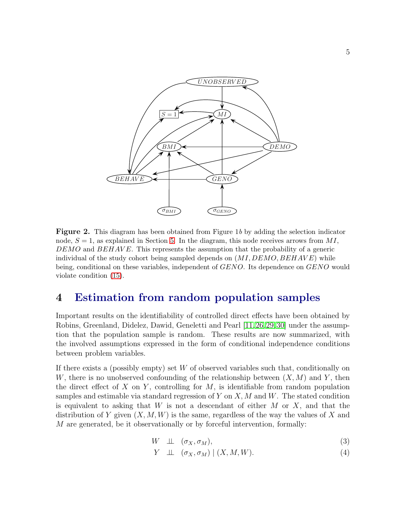

Figure 2. This diagram has been obtained from Figure 1*b* by adding the selection indicator node,  $S = 1$ , as explained in Section [5.](#page-6-0) In the diagram, this node receives arrows from MI,  $DEMO$  and  $BEHAVE$ . This represents the assumption that the probability of a generic individual of the study cohort being sampled depends on  $(MI, DEMO, BEHAVE)$  while being, conditional on these variables, independent of GENO. Its dependence on GENO would violate condition [\(15\)](#page-7-0).

#### 4 Estimation from random population samples

Important results on the identifiability of controlled direct effects have been obtained by Robins, Greenland, Didelez, Dawid, Geneletti and Pearl [\[11,](#page-16-4)[26,](#page-18-4)[29,](#page-18-6)[30\]](#page-18-5) under the assumption that the population sample is random. These results are now summarized, with the involved assumptions expressed in the form of conditional independence conditions between problem variables.

If there exists a (possibly empty) set  $W$  of observed variables such that, conditionally on W, there is no unobserved confounding of the relationship between  $(X, M)$  and Y, then the direct effect of X on Y, controlling for  $M$ , is identifiable from random population samples and estimable via standard regression of Y on  $X, M$  and W. The stated condition is equivalent to asking that  $W$  is not a descendant of either  $M$  or  $X$ , and that the distribution of Y given  $(X, M, W)$  is the same, regardless of the way the values of X and M are generated, be it observationally or by forceful intervention, formally:

<span id="page-4-0"></span>
$$
W \perp\perp (\sigma_X, \sigma_M), \tag{3}
$$

$$
Y \perp\perp (\sigma_X, \sigma_M) \mid (X, M, W). \tag{4}
$$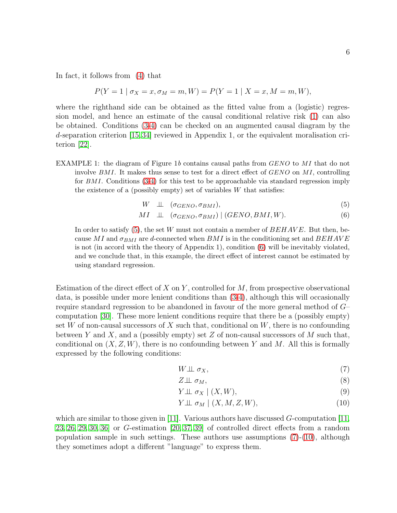In fact, it follows from [\(4\)](#page-4-0) that

$$
P(Y = 1 | \sigma_X = x, \sigma_M = m, W) = P(Y = 1 | X = x, M = m, W),
$$

where the righthand side can be obtained as the fitted value from a (logistic) regression model, and hence an estimate of the causal conditional relative risk [\(1\)](#page-3-1) can also be obtained. Conditions [\(3-4\)](#page-4-0) can be checked on an augmented causal diagram by the d-separation criterion [\[15,](#page-17-3)[34\]](#page-19-4) reviewed in Appendix 1, or the equivalent moralisation criterion [\[22\]](#page-17-4).

EXAMPLE 1: the diagram of Figure 1b contains causal paths from *GENO* to MI that do not involve  $BMI$ . It makes thus sense to test for a direct effect of  $GENO$  on MI, controlling for BMI. Conditions [\(3-4\)](#page-4-0) for this test to be approachable via standard regression imply the existence of a (possibly empty) set of variables  $W$  that satisfies:

<span id="page-5-0"></span>
$$
W \perp\perp (\sigma_{GENO}, \sigma_{BMI}), \tag{5}
$$

$$
MI \perp \perp (\sigma_{GENO}, \sigma_{BMI}) \mid (GENO, BMI, W). \tag{6}
$$

In order to satisfy  $(5)$ , the set W must not contain a member of  $BEHAVE$ . But then, because MI and  $\sigma_{BMI}$  are d-connected when BMI is in the conditioning set and BEHAVE is not (in accord with the theory of Appendix 1), condition [\(6\)](#page-5-0) will be inevitably violated, and we conclude that, in this example, the direct effect of interest cannot be estimated by using standard regression.

Estimation of the direct effect of X on Y, controlled for  $M$ , from prospective observational data, is possible under more lenient conditions than [\(3-4\)](#page-4-0), although this will occasionally require standard regression to be abandoned in favour of the more general method of G– computation [\[30\]](#page-18-5). These more lenient conditions require that there be a (possibly empty) set W of non-causal successors of X such that, conditional on  $W$ , there is no confounding between Y and X, and a (possibly empty) set Z of non-causal successors of M such that, conditional on  $(X, Z, W)$ , there is no confounding between Y and M. All this is formally expressed by the following conditions:

$$
W \perp \!\!\!\perp \sigma_X,\tag{7}
$$

<span id="page-5-4"></span><span id="page-5-3"></span><span id="page-5-1"></span>
$$
Z \perp \!\!\! \perp \sigma_M, \tag{8}
$$

<span id="page-5-2"></span>
$$
Y \perp \!\!\!\perp \sigma_X \mid (X, W), \tag{9}
$$

$$
Y \perp \!\!\!\perp \sigma_M \mid (X, M, Z, W), \tag{10}
$$

which are similar to those given in [\[11\]](#page-16-4). Various authors have discussed  $G$ -computation [\[11,](#page-16-4) [23,](#page-18-7) [26,](#page-18-4) [29,](#page-18-6) [30,](#page-18-5) [36\]](#page-19-5) or G-estimation [\[20,](#page-17-5) [37,](#page-19-0) [39\]](#page-19-1) of controlled direct effects from a random population sample in such settings. These authors use assumptions  $(7)-(10)$  $(7)-(10)$  $(7)-(10)$ , although they sometimes adopt a different "language" to express them.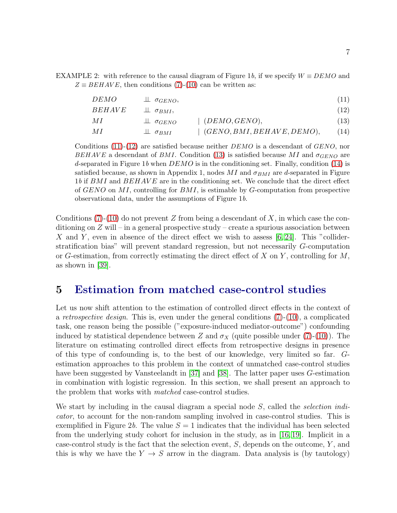EXAMPLE 2: with reference to the causal diagram of Figure 1*b*, if we specify  $W \equiv DEMO$  and  $Z \equiv BEHAVE$ , then conditions [\(7\)](#page-5-1)-[\(10\)](#page-5-2) can be written as:

<span id="page-6-4"></span><span id="page-6-3"></span><span id="page-6-2"></span><span id="page-6-1"></span>

| DEMO          | $\perp \! \! \perp \sigma_{GENO},$ |                                   | (11)            |
|---------------|------------------------------------|-----------------------------------|-----------------|
| <i>BEHAVE</i> | $\perp \! \! \perp \sigma_{BMI}$   |                                   | (12)            |
| MІ            | $\perp \sigma$ GENO                | $\mid$ (DEMO, GENO),              | (13)            |
| МI            | $\perp \!\!\! \perp \sigma_{BMI}$  | $\mid$ (GENO, BMI, BEHAVE, DEMO), | <sup>14</sup> ) |

Conditions [\(11\)](#page-6-1)-[\(12\)](#page-6-2) are satisfied because neither DEMO is a descendant of GENO, nor BEHAVE a descendant of BMI. Condition [\(13\)](#page-6-3) is satisfied because MI and  $\sigma_{GENO}$  are d-separated in Figure 1*b* when DEMO is in the conditioning set. Finally, condition [\(14\)](#page-6-4) is satisfied because, as shown in Appendix 1, nodes  $MI$  and  $\sigma_{BMI}$  are d-separated in Figure 1*b* if BMI and BEHAVE are in the conditioning set. We conclude that the direct effect of  $GENO$  on MI, controlling for  $BMI$ , is estimable by  $G$ -computation from prospective observational data, under the assumptions of Figure 1*b*.

Conditions [\(7\)](#page-5-1)-[\(10\)](#page-5-2) do not prevent Z from being a descendant of X, in which case the conditioning on  $Z$  will – in a general prospective study – create a spurious association between X and Y, even in absence of the direct effect we wish to assess  $(6, 24)$ . This "colliderstratification bias" will prevent standard regression, but not necessarily G-computation or G-estimation, from correctly estimating the direct effect of  $X$  on  $Y$ , controlling for  $M$ , as shown in [\[39\]](#page-19-1).

#### <span id="page-6-0"></span>5 Estimation from matched case-control studies

Let us now shift attention to the estimation of controlled direct effects in the context of a *retrospective design*. This is, even under the general conditions  $(7)-(10)$  $(7)-(10)$ , a complicated task, one reason being the possible ("exposure-induced mediator-outcome") confounding induced by statistical dependence between Z and  $\sigma_X$  (quite possible under [\(7\)](#page-5-1)-[\(10\)](#page-5-2)). The literature on estimating controlled direct effects from retrospective designs in presence of this type of confounding is, to the best of our knowledge, very limited so far. Gestimation approaches to this problem in the context of unmatched case-control studies have been suggested by Vansteelandt in [\[37\]](#page-19-0) and [\[38\]](#page-19-6). The latter paper uses G-estimation in combination with logistic regression. In this section, we shall present an approach to the problem that works with matched case-control studies.

We start by including in the causal diagram a special node S, called the *selection indi*cator, to account for the non-random sampling involved in case-control studies. This is exemplified in Figure 2b. The value  $S = 1$  indicates that the individual has been selected from the underlying study cohort for inclusion in the study, as in [\[16,](#page-17-6) [19\]](#page-17-7). Implicit in a case-control study is the fact that the selection event,  $S$ , depends on the outcome,  $Y$ , and this is why we have the  $Y \rightarrow S$  arrow in the diagram. Data analysis is (by tautology)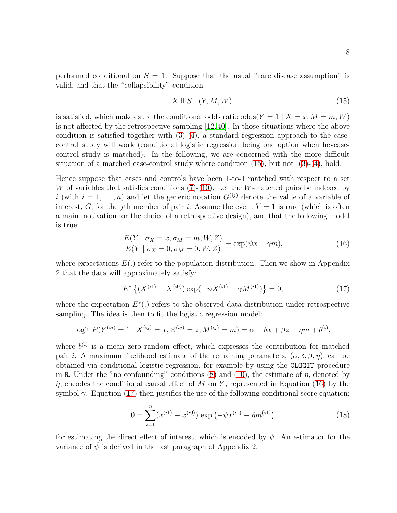performed conditional on  $S = 1$ . Suppose that the usual "rare disease assumption" is valid, and that the "collapsibility" condition

<span id="page-7-0"></span>
$$
X \perp\!\!\!\perp S \mid (Y, M, W), \tag{15}
$$

is satisfied, which makes sure the conditional odds ratio odds $(Y = 1 | X = x, M = m, W)$ is not affected by the retrospective sampling [\[12,](#page-16-6)[40\]](#page-19-7). In those situations where the above condition is satisfied together with  $(3)-(4)$  $(3)-(4)$ , a standard regression approach to the casecontrol study will work (conditional logistic regression being one option when hevcasecontrol study is matched). In the following, we are concerned with the more difficult situation of a matched case-control study where condition  $(15)$ , but not  $(3)-(4)$  $(3)-(4)$ , hold.

Hence suppose that cases and controls have been 1-to-1 matched with respect to a set W of variables that satisfies conditions  $(7)-(10)$  $(7)-(10)$ . Let the W-matched pairs be indexed by i (with  $i = 1, \ldots, n$ ) and let the generic notation  $G^{(ij)}$  denote the value of a variable of interest, G, for the j<sup>th</sup> member of pair *i*. Assume the event  $Y = 1$  is rare (which is often a main motivation for the choice of a retrospective design), and that the following model is true:

<span id="page-7-1"></span>
$$
\frac{E(Y \mid \sigma_X = x, \sigma_M = m, W, Z)}{E(Y \mid \sigma_X = 0, \sigma_M = 0, W, Z)} = \exp(\psi x + \gamma m),\tag{16}
$$

where expectations  $E(.)$  refer to the population distribution. Then we show in Appendix 2 that the data will approximately satisfy:

<span id="page-7-2"></span>
$$
E^* \left\{ (X^{(i1)} - X^{(i0)}) \exp(-\psi X^{(i1)} - \gamma M^{(i1)}) \right\} = 0,\tag{17}
$$

where the expectation  $E^*(.)$  refers to the observed data distribution under retrospective sampling. The idea is then to fit the logistic regression model:

logit 
$$
P(Y^{(ij)} = 1 | X^{(ij)} = x, Z^{(ij)} = z, M^{(ij)} = m) = \alpha + \delta x + \beta z + \eta m + b^{(i)},
$$

where  $b^{(i)}$  is a mean zero random effect, which expresses the contribution for matched pair *i*. A maximum likelihood estimate of the remaining parameters,  $(\alpha, \delta, \beta, \eta)$ , can be obtained via conditional logistic regression, for example by using the CLOGIT procedure in R. Under the "no confounding" conditions [\(8\)](#page-5-3) and [\(10\)](#page-5-2), the estimate of  $\eta$ , denoted by  $\hat{\eta}$ , encodes the conditional causal effect of M on Y, represented in Equation [\(16\)](#page-7-1) by the symbol  $\gamma$ . Equation [\(17\)](#page-7-2) then justifies the use of the following conditional score equation:

<span id="page-7-3"></span>
$$
0 = \sum_{i=1}^{n} (x^{(i1)} - x^{(i0)}) \exp\left(-\psi x^{(i1)} - \hat{\eta} m^{(i1)}\right)
$$
 (18)

for estimating the direct effect of interest, which is encoded by  $\psi$ . An estimator for the variance of  $\psi$  is derived in the last paragraph of Appendix 2.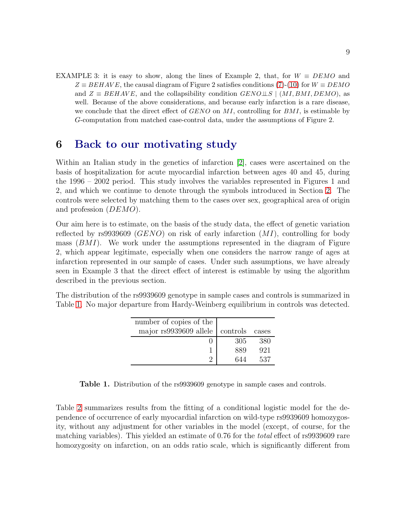EXAMPLE 3: it is easy to show, along the lines of Example 2, that, for  $W \equiv DEMO$  and  $Z \equiv BEHAVE$ , the causal diagram of Figure 2 satisfies conditions [\(7\)](#page-5-1)-[\(10\)](#page-5-2) for  $W \equiv DEMO$ and  $Z \equiv BEHAVE$ , and the collapsibility condition  $GENO \perp S \mid (MI, BMI, DEMO)$ , as well. Because of the above considerations, and because early infarction is a rare disease, we conclude that the direct effect of  $GENO$  on MI, controlling for  $BMI$ , is estimable by G-computation from matched case-control data, under the assumptions of Figure 2.

#### <span id="page-8-0"></span>6 Back to our motivating study

Within an Italian study in the genetics of infarction [\[2\]](#page-16-7), cases were ascertained on the basis of hospitalization for acute myocardial infarction between ages 40 and 45, during the 1996 – 2002 period. This study involves the variables represented in Figures 1 and 2, and which we continue to denote through the symbols introduced in Section [2.](#page-1-0) The controls were selected by matching them to the cases over sex, geographical area of origin and profession (DEMO).

Our aim here is to estimate, on the basis of the study data, the effect of genetic variation reflected by rs9939609 ( $GENO$ ) on risk of early infarction  $(MI)$ , controlling for body mass  $(BMI)$ . We work under the assumptions represented in the diagram of Figure 2, which appear legitimate, especially when one considers the narrow range of ages at infarction represented in our sample of cases. Under such assumptions, we have already seen in Example 3 that the direct effect of interest is estimable by using the algorithm described in the previous section.

<span id="page-8-1"></span>The distribution of the rs9939609 genotype in sample cases and controls is summarized in Table [1.](#page-8-1) No major departure from Hardy-Weinberg equilibrium in controls was detected.

| number of copies of the |          |       |
|-------------------------|----------|-------|
| major rs9939609 allele  | controls | cases |
|                         | 305      | 380   |
|                         | 889      | 921   |
|                         | 644      | 537   |

Table 1. Distribution of the rs9939609 genotype in sample cases and controls.

Table [2](#page-9-0) summarizes results from the fitting of a conditional logistic model for the dependence of occurrence of early myocardial infarction on wild-type rs9939609 homozygosity, without any adjustment for other variables in the model (except, of course, for the matching variables). This yielded an estimate of 0.76 for the total effect of rs9939609 rare homozygosity on infarction, on an odds ratio scale, which is significantly different from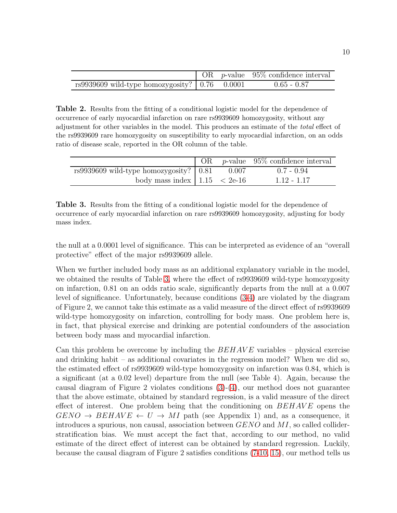<span id="page-9-0"></span>

|                                                                |  | $\log p$ -value 95% confidence interval |
|----------------------------------------------------------------|--|-----------------------------------------|
| rs9939609 wild-type homozygosity? $\vert 0.76 \, 0.0001 \vert$ |  | $0.65 - 0.87$                           |

Table 2. Results from the fitting of a conditional logistic model for the dependence of occurrence of early myocardial infarction on rare rs9939609 homozygosity, without any adjustment for other variables in the model. This produces an estimate of the *total* effect of the rs9939609 rare homozygosity on susceptibility to early myocardial infarction, on an odds ratio of disease scale, reported in the OR column of the table.

<span id="page-9-1"></span>

|                                                         |       | OR $p$ -value 95% confidence interval |
|---------------------------------------------------------|-------|---------------------------------------|
| $rs9939609$ wild-type homozygosity? $\mid 0.81 \rangle$ | 0.007 | $0.7 - 0.94$                          |
| body mass index $\vert$ 1.15 $\vert$ 2e-16              |       | $1.12 - 1.17$                         |

Table 3. Results from the fitting of a conditional logistic model for the dependence of occurrence of early myocardial infarction on rare rs9939609 homozygosity, adjusting for body mass index.

the null at a 0.0001 level of significance. This can be interpreted as evidence of an "overall protective" effect of the major rs9939609 allele.

When we further included body mass as an additional explanatory variable in the model, we obtained the results of Table [3,](#page-9-1) where the effect of rs9939609 wild-type homozygosity on infarction, 0.81 on an odds ratio scale, significantly departs from the null at a 0.007 level of significance. Unfortunately, because conditions [\(3-4\)](#page-4-0) are violated by the diagram of Figure 2, we cannot take this estimate as a valid measure of the direct effect of rs9939609 wild-type homozygosity on infarction, controlling for body mass. One problem here is, in fact, that physical exercise and drinking are potential confounders of the association between body mass and myocardial infarction.

Can this problem be overcome by including the  $BEHAVE$  variables – physical exercise and drinking habit – as additional covariates in the regression model? When we did so, the estimated effect of rs9939609 wild-type homozygosity on infarction was 0.84, which is a significant (at a 0.02 level) departure from the null (see Table 4). Again, because the causal diagram of Figure 2 violates conditions [\(3\)](#page-4-0)-[\(4\)](#page-4-0), our method does not guarantee that the above estimate, obtained by standard regression, is a valid measure of the direct effect of interest. One problem being that the conditioning on  $BEHAVE$  opens the  $GENO \to BEHAVE \leftarrow U \rightarrow MI$  path (see Appendix 1) and, as a consequence, it introduces a spurious, non causal, association between  $GENO$  and  $MI$ , so called colliderstratification bias. We must accept the fact that, according to our method, no valid estimate of the direct effect of interest can be obtained by standard regression. Luckily, because the causal diagram of Figure 2 satisfies conditions [\(7](#page-5-1)[-10,](#page-5-2) [15\)](#page-7-0), our method tells us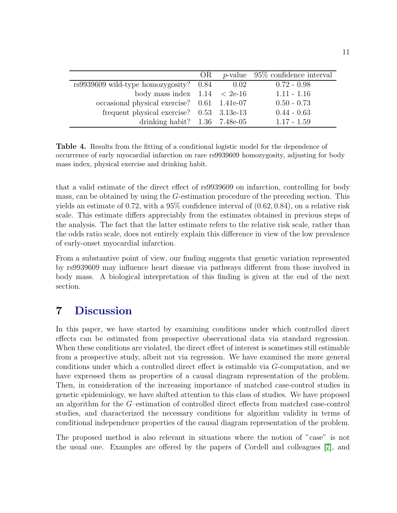|                                             | OR |      | <i>p</i> -value $95\%$ confidence interval |
|---------------------------------------------|----|------|--------------------------------------------|
| $rs9939609$ wild-type homozygosity? $0.84$  |    | 0.02 | $0.72 - 0.98$                              |
| body mass index $1.14 < 2e-16$              |    |      | $1.11 - 1.16$                              |
| occasional physical exercise? 0.61 1.41e-07 |    |      | $0.50 - 0.73$                              |
| frequent physical exercise? $0.53$ 3.13e-13 |    |      | $0.44 - 0.63$                              |
| drinking habit? $1.36$ $7.48e-05$           |    |      | $1.17 - 1.59$                              |

Table 4. Results from the fitting of a conditional logistic model for the dependence of occurrence of early myocardial infarction on rare rs9939609 homozygosity, adjusting for body mass index, physical exercise and drinking habit.

that a valid estimate of the direct effect of rs9939609 on infarction, controlling for body mass, can be obtained by using the G-estimation procedure of the preceding section. This yields an estimate of 0.72, with a  $95\%$  confidence interval of  $(0.62, 0.84)$ , on a relative risk scale. This estimate differs appreciably from the estimates obtained in previous steps of the analysis. The fact that the latter estimate refers to the relative risk scale, rather than the odds ratio scale, does not entirely explain this difference in view of the low prevalence of early-onset myocardial infarction.

From a substantive point of view, our finding suggests that genetic variation represented by rs9939609 may influence heart disease via pathways different from those involved in body mass. A biological interpretation of this finding is given at the end of the next section.

### 7 Discussion

In this paper, we have started by examining conditions under which controlled direct effects can be estimated from prospective observational data via standard regression. When these conditions are violated, the direct effect of interest is sometimes still estimable from a prospective study, albeit not via regression. We have examined the more general conditions under which a controlled direct effect is estimable via G-computation, and we have expressed them as properties of a causal diagram representation of the problem. Then, in consideration of the increasing importance of matched case-control studies in genetic epidemiology, we have shifted attention to this class of studies. We have proposed an algorithm for the G–estimation of controlled direct effects from matched case-control studies, and characterized the necessary conditions for algorithm validity in terms of conditional independence properties of the causal diagram representation of the problem.

The proposed method is also relevant in situations where the notion of "case" is not the usual one. Examples are offered by the papers of Cordell and colleagues [\[7\]](#page-16-8), and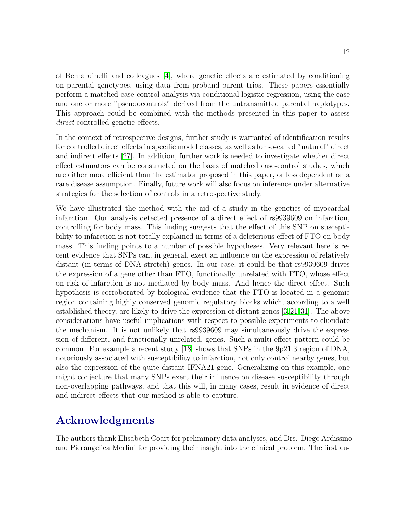of Bernardinelli and colleagues [\[4\]](#page-16-9), where genetic effects are estimated by conditioning on parental genotypes, using data from proband-parent trios. These papers essentially perform a matched case-control analysis via conditional logistic regression, using the case and one or more "pseudocontrols" derived from the untransmitted parental haplotypes. This approach could be combined with the methods presented in this paper to assess direct controlled genetic effects.

In the context of retrospective designs, further study is warranted of identification results for controlled direct effects in specific model classes, as well as for so-called "natural" direct and indirect effects [\[27\]](#page-18-9). In addition, further work is needed to investigate whether direct effect estimators can be constructed on the basis of matched case-control studies, which are either more efficient than the estimator proposed in this paper, or less dependent on a rare disease assumption. Finally, future work will also focus on inference under alternative strategies for the selection of controls in a retrospective study.

We have illustrated the method with the aid of a study in the genetics of myocardial infarction. Our analysis detected presence of a direct effect of rs9939609 on infarction, controlling for body mass. This finding suggests that the effect of this SNP on susceptibility to infarction is not totally explained in terms of a deleterious effect of FTO on body mass. This finding points to a number of possible hypotheses. Very relevant here is recent evidence that SNPs can, in general, exert an influence on the expression of relatively distant (in terms of DNA stretch) genes. In our case, it could be that rs9939609 drives the expression of a gene other than FTO, functionally unrelated with FTO, whose effect on risk of infarction is not mediated by body mass. And hence the direct effect. Such hypothesis is corroborated by biological evidence that the FTO is located in a genomic region containing highly conserved genomic regulatory blocks which, according to a well established theory, are likely to drive the expression of distant genes [\[3,](#page-16-10)[21,](#page-17-8)[31\]](#page-18-10). The above considerations have useful implications with respect to possible experiments to elucidate the mechanism. It is not unlikely that rs9939609 may simultaneously drive the expression of different, and functionally unrelated, genes. Such a multi-effect pattern could be common. For example a recent study [\[18\]](#page-17-9) shows that SNPs in the 9p21.3 region of DNA, notoriously associated with susceptibility to infarction, not only control nearby genes, but also the expression of the quite distant IFNA21 gene. Generalizing on this example, one might conjecture that many SNPs exert their influence on disease susceptibility through non-overlapping pathways, and that this will, in many cases, result in evidence of direct and indirect effects that our method is able to capture.

# Acknowledgments

The authors thank Elisabeth Coart for preliminary data analyses, and Drs. Diego Ardissino and Pierangelica Merlini for providing their insight into the clinical problem. The first au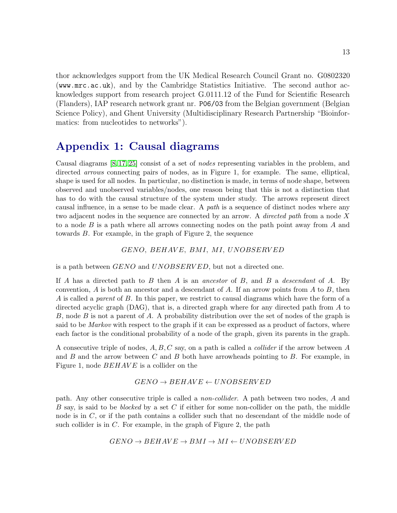thor acknowledges support from the UK Medical Research Council Grant no. G0802320 (www.mrc.ac.uk), and by the Cambridge Statistics Initiative. The second author acknowledges support from research project G.0111.12 of the Fund for Scientific Research (Flanders), IAP research network grant nr. P06/03 from the Belgian government (Belgian Science Policy), and Ghent University (Multidisciplinary Research Partnership "Bioinformatics: from nucleotides to networks").

### Appendix 1: Causal diagrams

Causal diagrams [\[8,](#page-16-1) [17,](#page-17-0) [25\]](#page-18-0) consist of a set of *nodes* representing variables in the problem, and directed *arrows* connecting pairs of nodes, as in Figure 1, for example. The same, elliptical, shape is used for all nodes. In particular, no distinction is made, in terms of node shape, between observed and unobserved variables/nodes, one reason being that this is not a distinction that has to do with the causal structure of the system under study. The arrows represent direct causal influence, in a sense to be made clear. A *path* is a sequence of distinct nodes where any two adjacent nodes in the sequence are connected by an arrow. A *directed path* from a node X to a node  $B$  is a path where all arrows connecting nodes on the path point away from  $A$  and towards B. For example, in the graph of Figure 2, the sequence

GENO, BEHAVE, BMI, MI, UNOBSERVED

is a path between GENO and UNOBSERVED, but not a directed one.

If A has a directed path to B then A is an *ancestor* of B, and B a *descendant* of A. By convention,  $A$  is both an ancestor and a descendant of  $A$ . If an arrow points from  $A$  to  $B$ , then A is called a *parent* of B. In this paper, we restrict to causal diagrams which have the form of a directed acyclic graph (DAG), that is, a directed graph where for any directed path from A to B, node B is not a parent of A. A probability distribution over the set of nodes of the graph is said to be *Markov* with respect to the graph if it can be expressed as a product of factors, where each factor is the conditional probability of a node of the graph, given its parents in the graph.

A consecutive triple of nodes, A, B, C say, on a path is called a *collider* if the arrow between A and  $B$  and the arrow between  $C$  and  $B$  both have arrowheads pointing to  $B$ . For example, in Figure 1, node  $BEHAVE$  is a collider on the

#### $GENO \rightarrow BEHAVE \leftarrow UNOBSERVED$

path. Any other consecutive triple is called a *non-collider*. A path between two nodes, A and B say, is said to be *blocked* by a set C if either for some non-collider on the path, the middle node is in C, or if the path contains a collider such that no descendant of the middle node of such collider is in  $C$ . For example, in the graph of Figure 2, the path

$$
GENO \rightarrow BEHAVE \rightarrow BMI \rightarrow MI \leftarrow UNOBSERVED
$$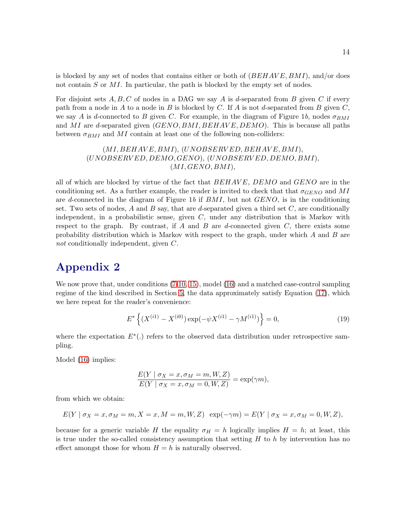is blocked by any set of nodes that contains either or both of  $(BEHAVE, BMI)$ , and/or does not contain  $S$  or  $MI$ . In particular, the path is blocked by the empty set of nodes.

For disjoint sets  $A, B, C$  of nodes in a DAG we say A is d-separated from B given C if every path from a node in A to a node in B is blocked by C. If A is not d-separated from B given  $C$ , we say A is d-connected to B given C. For example, in the diagram of Figure 1b, nodes  $\sigma_{BMI}$ and MI are d-separated given  $(GENO, BMI, BEHAVE, DEMO)$ . This is because all paths between  $\sigma_{BMI}$  and MI contain at least one of the following non-colliders:

> $(MI, BEHAVE, BMI), (UNOBSERVED, BEHAVE, BMI),$ (UNOBSERV ED, DEMO, GENO), (UNOBSERV ED, DEMO, BMI),  $(MI, GENO, BMI),$

all of which are blocked by virtue of the fact that  $BEHAVE$ ,  $DEMO$  and  $GENO$  are in the conditioning set. As a further example, the reader is invited to check that that  $\sigma_{GENO}$  and MI are d-connected in the diagram of Figure 1*b* if BMI, but not GENO, is in the conditioning set. Two sets of nodes, A and B say, that are d-separated given a third set  $C$ , are conditionally independent, in a probabilistic sense, given  $C$ , under any distribution that is Markov with respect to the graph. By contrast, if A and B are d-connected given  $C$ , there exists some probability distribution which is Markov with respect to the graph, under which  $A$  and  $B$  are *not* conditionally independent, given C.

### Appendix 2

We now prove that, under conditions  $(7-10, 15)$  $(7-10, 15)$  $(7-10, 15)$ , model  $(16)$  and a matched case-control sampling regime of the kind described in Section [5,](#page-6-0) the data approximately satisfy Equation [\(17\)](#page-7-2), which we here repeat for the reader's convenience:

$$
E^* \left\{ (X^{(i1)} - X^{(i0)}) \exp(-\psi X^{(i1)} - \gamma M^{(i1)}) \right\} = 0,
$$
\n(19)

where the expectation  $E^*(.)$  refers to the observed data distribution under retrospective sampling.

Model [\(16\)](#page-7-1) implies:

<span id="page-13-0"></span>
$$
\frac{E(Y \mid \sigma_X = x, \sigma_M = m, W, Z)}{E(Y \mid \sigma_X = x, \sigma_M = 0, W, Z)} = \exp(\gamma m),
$$

from which we obtain:

$$
E(Y \mid \sigma_X = x, \sigma_M = m, X = x, M = m, W, Z) \exp(-\gamma m) = E(Y \mid \sigma_X = x, \sigma_M = 0, W, Z),
$$

because for a generic variable H the equality  $\sigma_H = h$  logically implies  $H = h$ ; at least, this is true under the so-called consistency assumption that setting  $H$  to  $h$  by intervention has no effect amongst those for whom  $H = h$  is naturally observed.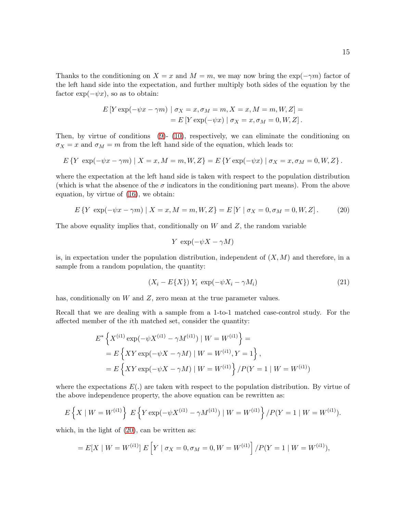Thanks to the conditioning on  $X = x$  and  $M = m$ , we may now bring the exp( $-\gamma m$ ) factor of the left hand side into the expectation, and further multiply both sides of the equation by the factor  $\exp(-\psi x)$ , so as to obtain:

$$
E[Y \exp(-\psi x - \gamma m) | \sigma_X = x, \sigma_M = m, X = x, M = m, W, Z] =
$$
  
= 
$$
E[Y \exp(-\psi x) | \sigma_X = x, \sigma_M = 0, W, Z].
$$

Then, by virtue of conditions [\(9\)](#page-5-4)- [\(10\)](#page-5-2), respectively, we can eliminate the conditioning on  $\sigma_X = x$  and  $\sigma_M = m$  from the left hand side of the equation, which leads to:

$$
E\left\{Y \exp(-\psi x - \gamma m) \mid X = x, M = m, W, Z\right\} = E\left\{Y \exp(-\psi x) \mid \sigma_X = x, \sigma_M = 0, W, Z\right\}.
$$

where the expectation at the left hand side is taken with respect to the population distribution (which is what the absence of the  $\sigma$  indicators in the conditioning part means). From the above equation, by virtue of [\(16\)](#page-7-1), we obtain:

$$
E\left\{Y\exp(-\psi x - \gamma m)\mid X = x, M = m, W, Z\right\} = E\left[Y\mid \sigma_X = 0, \sigma_M = 0, W, Z\right].\tag{20}
$$

The above equality implies that, conditionally on  $W$  and  $Z$ , the random variable

<span id="page-14-0"></span>
$$
Y \exp(-\psi X - \gamma M)
$$

is, in expectation under the population distribution, independent of  $(X, M)$  and therefore, in a sample from a random population, the quantity:

$$
(X_i - E\{X\}) Y_i \exp(-\psi X_i - \gamma M_i)
$$
\n<sup>(21)</sup>

has, conditionally on  $W$  and  $Z$ , zero mean at the true parameter values.

Recall that we are dealing with a sample from a 1-to-1 matched case-control study. For the affected member of the ith matched set, consider the quantity:

$$
E^* \left\{ X^{(i1)} \exp(-\psi X^{(i1)} - \gamma M^{(i1)}) \mid W = W^{(i1)} \right\} =
$$
  
=  $E \left\{ XY \exp(-\psi X - \gamma M) \mid W = W^{(i1)}, Y = 1 \right\},$   
=  $E \left\{ XY \exp(-\psi X - \gamma M) \mid W = W^{(i1)} \right\} / P(Y = 1 \mid W = W^{(i1)})$ 

where the expectations  $E(.)$  are taken with respect to the population distribution. By virtue of the above independence property, the above equation can be rewritten as:

$$
E\left\{X \mid W = W^{(i1)}\right\} E\left\{Y \exp(-\psi X^{(i1)} - \gamma M^{(i1)}) \mid W = W^{(i1)}\right\} / P(Y = 1 \mid W = W^{(i1)}).
$$

which, in the light of  $(20)$ , can be written as:

$$
= E[X \mid W = W^{(i1)}] E[Y \mid \sigma_X = 0, \sigma_M = 0, W = W^{(i1)}] / P(Y = 1 \mid W = W^{(i1)}),
$$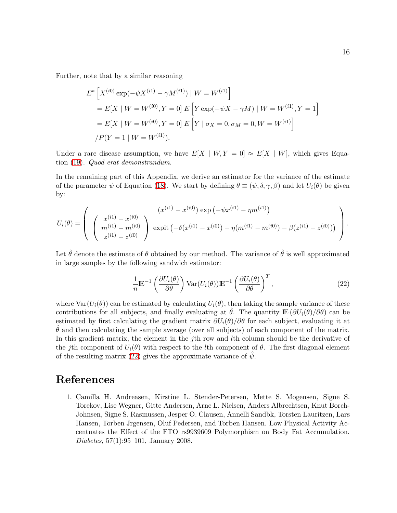Further, note that by a similar reasoning

$$
E^* \left[ X^{(i0)} \exp(-\psi X^{(i1)} - \gamma M^{(i1)}) \mid W = W^{(i1)} \right]
$$
  
=  $E[X \mid W = W^{(i0)}, Y = 0] E \left[ Y \exp(-\psi X - \gamma M) \mid W = W^{(i1)}, Y = 1 \right]$   
=  $E[X \mid W = W^{(i0)}, Y = 0] E \left[ Y \mid \sigma_X = 0, \sigma_M = 0, W = W^{(i1)} \right]$   
 $\langle P(Y = 1 \mid W = W^{(i1)}). \rangle$ 

Under a rare disease assumption, we have  $E[X \mid W, Y = 0] \approx E[X \mid W]$ , which gives Equation [\(19\)](#page-13-0). *Quod erat demonstrandum*.

In the remaining part of this Appendix, we derive an estimator for the variance of the estimate of the parameter  $\psi$  of Equation [\(18\)](#page-7-3). We start by defining  $\theta \equiv (\psi, \delta, \gamma, \beta)$  and let  $U_i(\theta)$  be given by:

$$
U_i(\theta) = \left( \begin{array}{c} (x^{(i1)} - x^{(i0)}) \exp(-\psi x^{(i1)} - \eta m^{(i1)}) \\ m^{(i1)} - m^{(i0)} \\ z^{(i1)} - z^{(i0)} \end{array} \right) \exp(t - \delta(x^{(i1)} - x^{(i0)}) - \eta (m^{(i1)} - m^{(i0)}) - \beta (z^{(i1)} - z^{(i0)})) \end{array} \right).
$$

Let  $\hat{\theta}$  denote the estimate of  $\theta$  obtained by our method. The variance of  $\hat{\theta}$  is well approximated in large samples by the following sandwich estimator:

<span id="page-15-1"></span>
$$
\frac{1}{n} \mathbb{E}^{-1} \left( \frac{\partial U_i(\theta)}{\partial \theta} \right) \text{Var}(U_i(\theta)) \mathbb{E}^{-1} \left( \frac{\partial U_i(\theta)}{\partial \theta} \right)^T,
$$
\n(22)

where  $\text{Var}(U_i(\theta))$  can be estimated by calculating  $U_i(\theta)$ , then taking the sample variance of these contributions for all subjects, and finally evaluating at  $\theta$ . The quantity  $\mathbb{E}(\partial U_i(\theta)/\partial \theta)$  can be estimated by first calculating the gradient matrix  $\partial U_i(\theta)/\partial \theta$  for each subject, evaluating it at  $\theta$  and then calculating the sample average (over all subjects) of each component of the matrix. In this gradient matrix, the element in the jth row and lth column should be the derivative of the jth component of  $U_i(\theta)$  with respect to the lth component of  $\theta$ . The first diagonal element of the resulting matrix [\(22\)](#page-15-1) gives the approximate variance of  $\psi$ .

#### <span id="page-15-0"></span>References

1. Camilla H. Andreasen, Kirstine L. Stender-Petersen, Mette S. Mogensen, Signe S. Torekov, Lise Wegner, Gitte Andersen, Arne L. Nielsen, Anders Albrechtsen, Knut Borch-Johnsen, Signe S. Rasmussen, Jesper O. Clausen, Annelli Sandbk, Torsten Lauritzen, Lars Hansen, Torben Jrgensen, Oluf Pedersen, and Torben Hansen. Low Physical Activity Accentuates the Effect of the FTO rs9939609 Polymorphism on Body Fat Accumulation. *Diabetes*, 57(1):95–101, January 2008.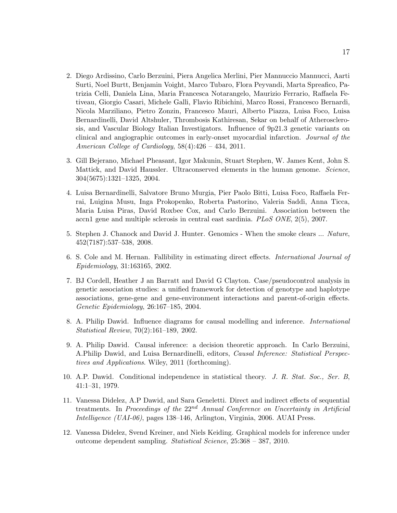- <span id="page-16-7"></span>2. Diego Ardissino, Carlo Berzuini, Piera Angelica Merlini, Pier Mannuccio Mannucci, Aarti Surti, Noel Burtt, Benjamin Voight, Marco Tubaro, Flora Peyvandi, Marta Spreafico, Patrizia Celli, Daniela Lina, Maria Francesca Notarangelo, Maurizio Ferrario, Raffaela Fetiveau, Giorgio Casari, Michele Galli, Flavio Ribichini, Marco Rossi, Francesco Bernardi, Nicola Marziliano, Pietro Zonzin, Francesco Mauri, Alberto Piazza, Luisa Foco, Luisa Bernardinelli, David Altshuler, Thrombosis Kathiresan, Sekar on behalf of Atherosclerosis, and Vascular Biology Italian Investigators. Influence of 9p21.3 genetic variants on clinical and angiographic outcomes in early-onset myocardial infarction. *Journal of the American College of Cardiology*, 58(4):426 – 434, 2011.
- <span id="page-16-10"></span>3. Gill Bejerano, Michael Pheasant, Igor Makunin, Stuart Stephen, W. James Kent, John S. Mattick, and David Haussler. Ultraconserved elements in the human genome. *Science*, 304(5675):1321–1325, 2004.
- <span id="page-16-9"></span>4. Luisa Bernardinelli, Salvatore Bruno Murgia, Pier Paolo Bitti, Luisa Foco, Raffaela Ferrai, Luigina Musu, Inga Prokopenko, Roberta Pastorino, Valeria Saddi, Anna Ticca, Maria Luisa Piras, David Roxbee Cox, and Carlo Berzuini. Association between the accn1 gene and multiple sclerosis in central east sardinia. *PLoS ONE*, 2(5), 2007.
- <span id="page-16-0"></span>5. Stephen J. Chanock and David J. Hunter. Genomics - When the smoke clears ... *Nature*, 452(7187):537–538, 2008.
- <span id="page-16-8"></span><span id="page-16-5"></span>6. S. Cole and M. Hernan. Fallibility in estimating direct effects. *International Journal of Epidemiology*, 31:163165, 2002.
- 7. BJ Cordell, Heather J an Barratt and David G Clayton. Case/pseudocontrol analysis in genetic association studies: a unified framework for detection of genotype and haplotype associations, gene-gene and gene-environment interactions and parent-of-origin effects. *Genetic Epidemiology*, 26:167–185, 2004.
- <span id="page-16-1"></span>8. A. Philip Dawid. Influence diagrams for causal modelling and inference. *International Statistical Review*, 70(2):161–189, 2002.
- <span id="page-16-3"></span>9. A. Philip Dawid. Causal inference: a decision theoretic approach. In Carlo Berzuini, A.Philip Dawid, and Luisa Bernardinelli, editors, *Causal Inference: Statistical Perspectives and Applications*. Wiley, 2011 (forthcoming).
- <span id="page-16-2"></span>10. A.P. Dawid. Conditional independence in statistical theory. *J. R. Stat. Soc., Ser. B*, 41:1–31, 1979.
- <span id="page-16-4"></span>11. Vanessa Didelez, A.P Dawid, and Sara Geneletti. Direct and indirect effects of sequential treatments. In *Proceedings of the* 22nd *Annual Conference on Uncertainty in Artificial Intelligence (UAI-06)*, pages 138–146, Arlington, Virginia, 2006. AUAI Press.
- <span id="page-16-6"></span>12. Vanessa Didelez, Svend Kreiner, and Niels Keiding. Graphical models for inference under outcome dependent sampling. *Statistical Science*, 25:368 – 387, 2010.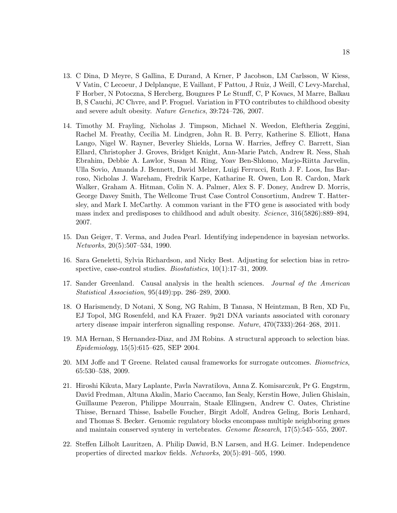- <span id="page-17-1"></span>13. C Dina, D Meyre, S Gallina, E Durand, A Krner, P Jacobson, LM Carlsson, W Kiess, V Vatin, C Lecoeur, J Delplanque, E Vaillant, F Pattou, J Ruiz, J Weill, C Levy-Marchal, F Horber, N Potoczna, S Hercberg, Bougnres P Le Stunff, C, P Kovacs, M Marre, Balkau B, S Cauchi, JC Chvre, and P. Froguel. Variation in FTO contributes to childhood obesity and severe adult obesity. *Nature Genetics*, 39:724–726, 2007.
- <span id="page-17-2"></span>14. Timothy M. Frayling, Nicholas J. Timpson, Michael N. Weedon, Eleftheria Zeggini, Rachel M. Freathy, Cecilia M. Lindgren, John R. B. Perry, Katherine S. Elliott, Hana Lango, Nigel W. Rayner, Beverley Shields, Lorna W. Harries, Jeffrey C. Barrett, Sian Ellard, Christopher J. Groves, Bridget Knight, Ann-Marie Patch, Andrew R. Ness, Shah Ebrahim, Debbie A. Lawlor, Susan M. Ring, Yoav Ben-Shlomo, Marjo-Riitta Jarvelin, Ulla Sovio, Amanda J. Bennett, David Melzer, Luigi Ferrucci, Ruth J. F. Loos, Ins Barroso, Nicholas J. Wareham, Fredrik Karpe, Katharine R. Owen, Lon R. Cardon, Mark Walker, Graham A. Hitman, Colin N. A. Palmer, Alex S. F. Doney, Andrew D. Morris, George Davey Smith, The Wellcome Trust Case Control Consortium, Andrew T. Hattersley, and Mark I. McCarthy. A common variant in the FTO gene is associated with body mass index and predisposes to childhood and adult obesity. *Science*, 316(5826):889–894, 2007.
- <span id="page-17-6"></span><span id="page-17-3"></span>15. Dan Geiger, T. Verma, and Judea Pearl. Identifying independence in bayesian networks. *Networks*, 20(5):507–534, 1990.
- 16. Sara Geneletti, Sylvia Richardson, and Nicky Best. Adjusting for selection bias in retrospective, case-control studies. *Biostatistics*, 10(1):17–31, 2009.
- <span id="page-17-0"></span>17. Sander Greenland. Causal analysis in the health sciences. *Journal of the American Statistical Association*, 95(449):pp. 286–289, 2000.
- <span id="page-17-9"></span>18. O Harismendy, D Notani, X Song, NG Rahim, B Tanasa, N Heintzman, B Ren, XD Fu, EJ Topol, MG Rosenfeld, and KA Frazer. 9p21 DNA variants associated with coronary artery disease impair interferon signalling response. *Nature*, 470(7333):264–268, 2011.
- <span id="page-17-7"></span>19. MA Hernan, S Hernandez-Diaz, and JM Robins. A structural approach to selection bias. *Epidemiology*, 15(5):615–625, SEP 2004.
- <span id="page-17-8"></span><span id="page-17-5"></span>20. MM Joffe and T Greene. Related causal frameworks for surrogate outcomes. *Biometrics*, 65:530–538, 2009.
- 21. Hiroshi Kikuta, Mary Laplante, Pavla Navratilova, Anna Z. Komisarczuk, Pr G. Engstrm, David Fredman, Altuna Akalin, Mario Caccamo, Ian Sealy, Kerstin Howe, Julien Ghislain, Guillaume Pezeron, Philippe Mourrain, Staale Ellingsen, Andrew C. Oates, Christine Thisse, Bernard Thisse, Isabelle Foucher, Birgit Adolf, Andrea Geling, Boris Lenhard, and Thomas S. Becker. Genomic regulatory blocks encompass multiple neighboring genes and maintain conserved synteny in vertebrates. *Genome Research*, 17(5):545–555, 2007.
- <span id="page-17-4"></span>22. Steffen Lilholt Lauritzen, A. Philip Dawid, B.N Larsen, and H.G. Leimer. Independence properties of directed markov fields. *Networks*, 20(5):491–505, 1990.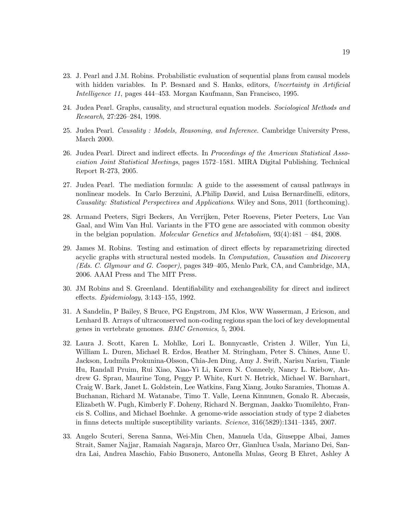- <span id="page-18-7"></span>23. J. Pearl and J.M. Robins. Probabilistic evaluation of sequential plans from causal models with hidden variables. In P. Besnard and S. Hanks, editors, *Uncertainty in Artificial Intelligence 11*, pages 444–453. Morgan Kaufmann, San Francisco, 1995.
- <span id="page-18-8"></span><span id="page-18-0"></span>24. Judea Pearl. Graphs, causality, and structural equation models. *Sociological Methods and Research*, 27:226–284, 1998.
- <span id="page-18-4"></span>25. Judea Pearl. *Causality : Models, Reasoning, and Inference*. Cambridge University Press, March 2000.
- 26. Judea Pearl. Direct and indirect effects. In *Proceedings of the American Statistical Association Joint Statistical Meetings*, pages 1572–1581. MIRA Digital Publishing. Technical Report R-273, 2005.
- <span id="page-18-9"></span>27. Judea Pearl. The mediation formula: A guide to the assessment of causal pathways in nonlinear models. In Carlo Berzuini, A.Philip Dawid, and Luisa Bernardinelli, editors, *Causality: Statistical Perspectives and Applications*. Wiley and Sons, 2011 (forthcoming).
- <span id="page-18-1"></span>28. Armand Peeters, Sigri Beckers, An Verrijken, Peter Roevens, Pieter Peeters, Luc Van Gaal, and Wim Van Hul. Variants in the FTO gene are associated with common obesity in the belgian population. *Molecular Genetics and Metabolism*, 93(4):481 – 484, 2008.
- <span id="page-18-6"></span>29. James M. Robins. Testing and estimation of direct effects by reparametrizing directed acyclic graphs with structural nested models. In *Computation, Causation and Discovery (Eds. C. Glymour and G. Cooper)*, pages 349–405, Menlo Park, CA, and Cambridge, MA, 2006. AAAI Press and The MIT Press.
- <span id="page-18-10"></span><span id="page-18-5"></span>30. JM Robins and S. Greenland. Identifiability and exchangeability for direct and indirect effects. *Epidemiology*, 3:143–155, 1992.
- 31. A Sandelin, P Bailey, S Bruce, PG Engstrom, JM Klos, WW Wasserman, J Ericson, and Lenhard B. Arrays of ultraconserved non-coding regions span the loci of key developmental genes in vertebrate genomes. *BMC Genomics*, 5, 2004.
- <span id="page-18-2"></span>32. Laura J. Scott, Karen L. Mohlke, Lori L. Bonnycastle, Cristen J. Willer, Yun Li, William L. Duren, Michael R. Erdos, Heather M. Stringham, Peter S. Chines, Anne U. Jackson, Ludmila Prokunina-Olsson, Chia-Jen Ding, Amy J. Swift, Narisu Narisu, Tianle Hu, Randall Pruim, Rui Xiao, Xiao-Yi Li, Karen N. Conneely, Nancy L. Riebow, Andrew G. Sprau, Maurine Tong, Peggy P. White, Kurt N. Hetrick, Michael W. Barnhart, Craig W. Bark, Janet L. Goldstein, Lee Watkins, Fang Xiang, Jouko Saramies, Thomas A. Buchanan, Richard M. Watanabe, Timo T. Valle, Leena Kinnunen, Gonalo R. Abecasis, Elizabeth W. Pugh, Kimberly F. Doheny, Richard N. Bergman, Jaakko Tuomilehto, Francis S. Collins, and Michael Boehnke. A genome-wide association study of type 2 diabetes in finns detects multiple susceptibility variants. *Science*, 316(5829):1341–1345, 2007.
- <span id="page-18-3"></span>33. Angelo Scuteri, Serena Sanna, Wei-Min Chen, Manuela Uda, Giuseppe Albai, James Strait, Samer Najjar, Ramaiah Nagaraja, Marco Orr, Gianluca Usala, Mariano Dei, Sandra Lai, Andrea Maschio, Fabio Busonero, Antonella Mulas, Georg B Ehret, Ashley A